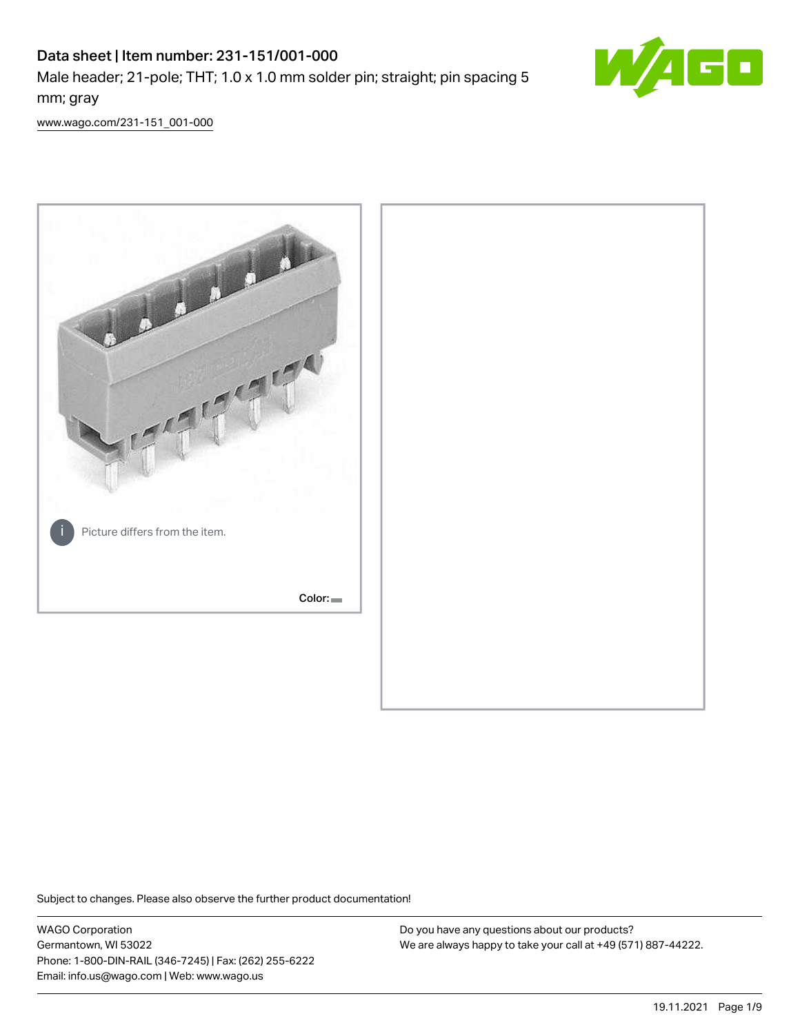# Data sheet | Item number: 231-151/001-000 Male header; 21-pole; THT; 1.0 x 1.0 mm solder pin; straight; pin spacing 5 mm; gray



[www.wago.com/231-151\\_001-000](http://www.wago.com/231-151_001-000)



Subject to changes. Please also observe the further product documentation!

WAGO Corporation Germantown, WI 53022 Phone: 1-800-DIN-RAIL (346-7245) | Fax: (262) 255-6222 Email: info.us@wago.com | Web: www.wago.us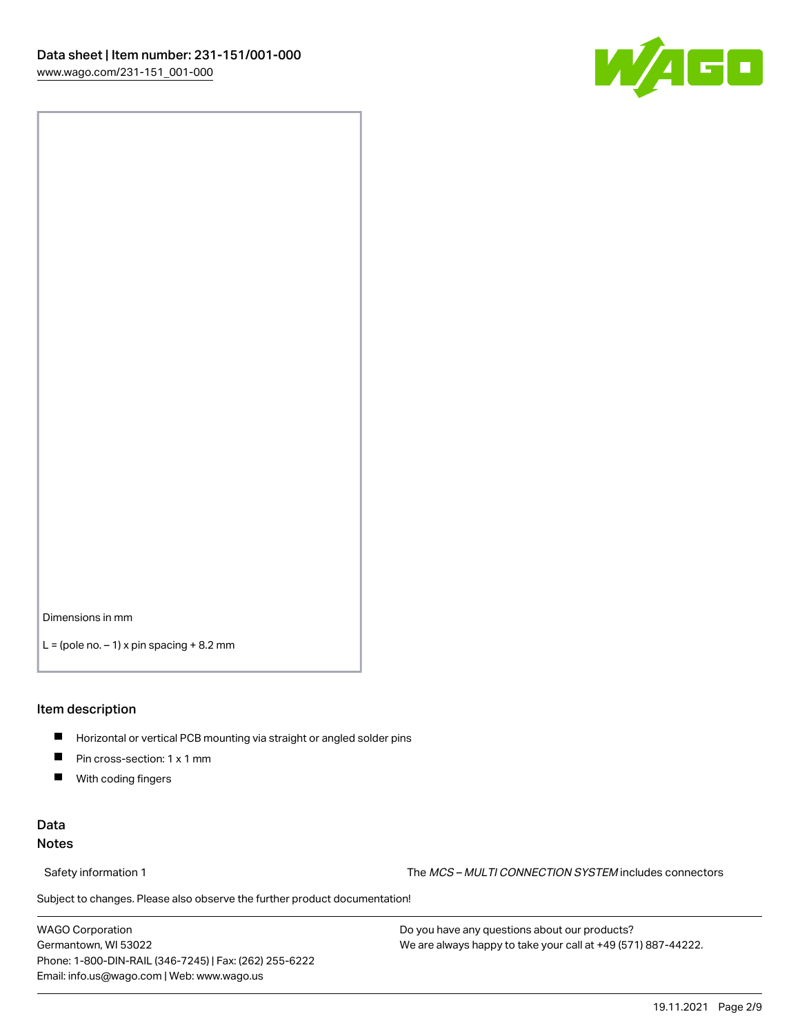

Dimensions in mm

 $L =$  (pole no.  $-1$ ) x pin spacing  $+8.2$  mm

### Item description

- **Horizontal or vertical PCB mounting via straight or angled solder pins**
- **Pin cross-section: 1 x 1 mm**
- $\blacksquare$ With coding fingers

## Data Notes

Safety information 1 The MCS – MULTI CONNECTION SYSTEM includes connectors

Subject to changes. Please also observe the further product documentation!  $\nu$ 

WAGO Corporation Germantown, WI 53022 Phone: 1-800-DIN-RAIL (346-7245) | Fax: (262) 255-6222 Email: info.us@wago.com | Web: www.wago.us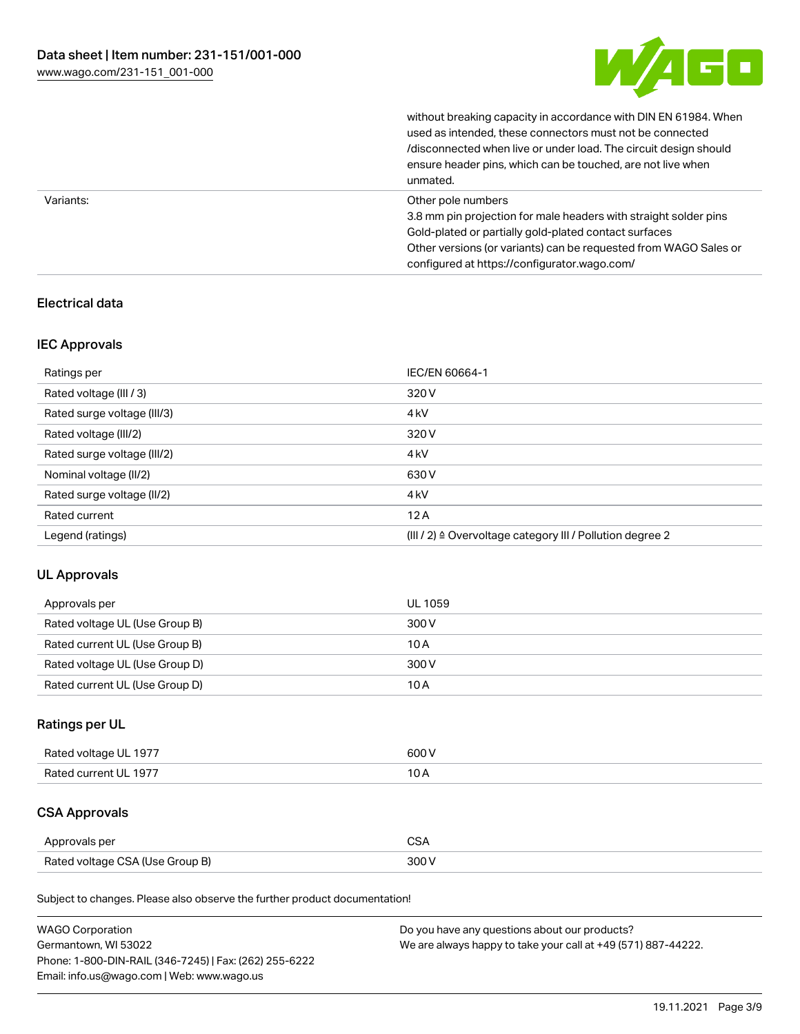

|           | without breaking capacity in accordance with DIN EN 61984. When<br>used as intended, these connectors must not be connected<br>/disconnected when live or under load. The circuit design should<br>ensure header pins, which can be touched, are not live when<br>unmated. |
|-----------|----------------------------------------------------------------------------------------------------------------------------------------------------------------------------------------------------------------------------------------------------------------------------|
| Variants: | Other pole numbers<br>3.8 mm pin projection for male headers with straight solder pins<br>Gold-plated or partially gold-plated contact surfaces<br>Other versions (or variants) can be requested from WAGO Sales or<br>configured at https://configurator.wago.com/        |

## Electrical data

## IEC Approvals

| Ratings per                 | IEC/EN 60664-1                                            |
|-----------------------------|-----------------------------------------------------------|
| Rated voltage (III / 3)     | 320 V                                                     |
| Rated surge voltage (III/3) | 4 <sub>k</sub> V                                          |
| Rated voltage (III/2)       | 320 V                                                     |
| Rated surge voltage (III/2) | 4 <sub>k</sub> V                                          |
| Nominal voltage (II/2)      | 630 V                                                     |
| Rated surge voltage (II/2)  | 4 <sub>k</sub> V                                          |
| Rated current               | 12A                                                       |
| Legend (ratings)            | (III / 2) ≙ Overvoltage category III / Pollution degree 2 |

## UL Approvals

| Approvals per                  | UL 1059 |
|--------------------------------|---------|
| Rated voltage UL (Use Group B) | 300 V   |
| Rated current UL (Use Group B) | 10 A    |
| Rated voltage UL (Use Group D) | 300 V   |
| Rated current UL (Use Group D) | 10 A    |

## Ratings per UL

| Rated voltage UL 1977 | 600 V |
|-----------------------|-------|
| Rated current UL 1977 |       |

## CSA Approvals

| Approvals per                   | ~~    |
|---------------------------------|-------|
| Rated voltage CSA (Use Group B) | 3UU 1 |

Subject to changes. Please also observe the further product documentation!

| <b>WAGO Corporation</b>                                | Do you have any questions about our products?                 |
|--------------------------------------------------------|---------------------------------------------------------------|
| Germantown, WI 53022                                   | We are always happy to take your call at +49 (571) 887-44222. |
| Phone: 1-800-DIN-RAIL (346-7245)   Fax: (262) 255-6222 |                                                               |
| Email: info.us@wago.com   Web: www.wago.us             |                                                               |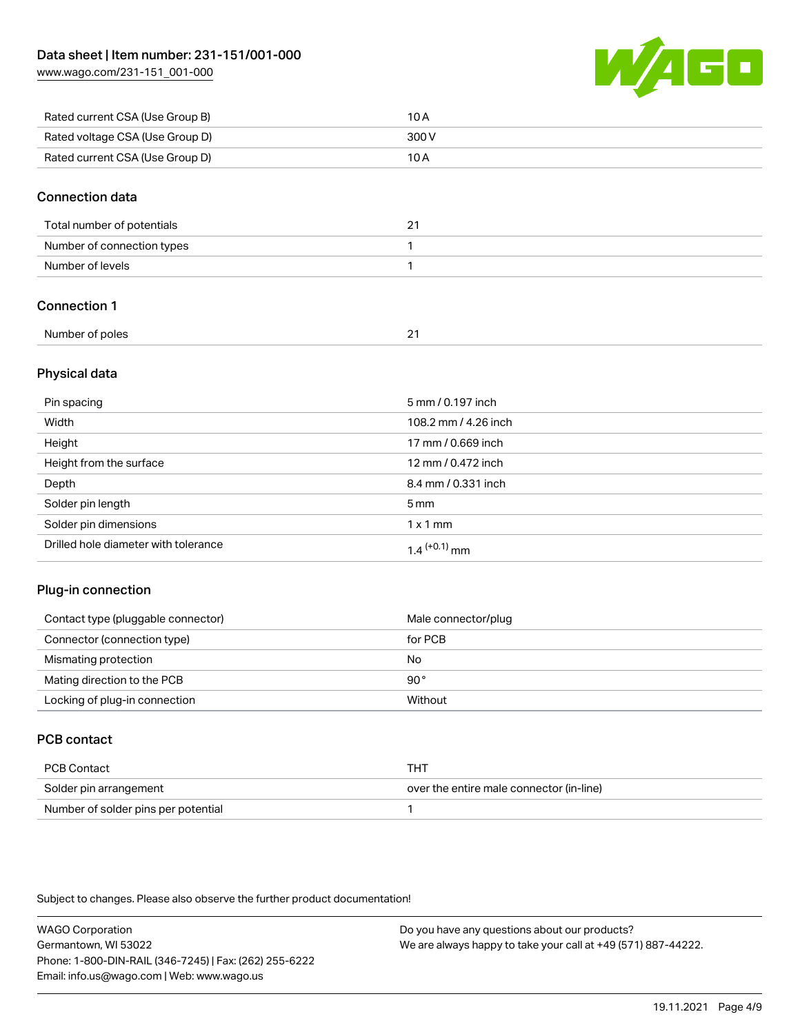[www.wago.com/231-151\\_001-000](http://www.wago.com/231-151_001-000)



| Rated current CSA (Use Group B) | 10 A  |
|---------------------------------|-------|
| Rated voltage CSA (Use Group D) | 300 V |
| Rated current CSA (Use Group D) | 10 A  |

## Connection data

| Total number of potentials | <u>.</u> |
|----------------------------|----------|
| Number of connection types |          |
| Number of levels           |          |

## Connection 1

| Number of poles |  |
|-----------------|--|
|                 |  |

## Physical data

| Pin spacing                          | 5 mm / 0.197 inch    |
|--------------------------------------|----------------------|
| Width                                | 108.2 mm / 4.26 inch |
| Height                               | 17 mm / 0.669 inch   |
| Height from the surface              | 12 mm / 0.472 inch   |
| Depth                                | 8.4 mm / 0.331 inch  |
| Solder pin length                    | $5 \,\mathrm{mm}$    |
| Solder pin dimensions                | $1 \times 1$ mm      |
| Drilled hole diameter with tolerance | $1.4$ $(+0.1)$ mm    |

## Plug-in connection

| Contact type (pluggable connector) | Male connector/plug |
|------------------------------------|---------------------|
| Connector (connection type)        | for PCB             |
| Mismating protection               | No                  |
| Mating direction to the PCB        | 90°                 |
| Locking of plug-in connection      | Without             |

## PCB contact

| PCB Contact                         | тнт                                      |
|-------------------------------------|------------------------------------------|
| Solder pin arrangement              | over the entire male connector (in-line) |
| Number of solder pins per potential |                                          |

Subject to changes. Please also observe the further product documentation!

WAGO Corporation Germantown, WI 53022 Phone: 1-800-DIN-RAIL (346-7245) | Fax: (262) 255-6222 Email: info.us@wago.com | Web: www.wago.us Do you have any questions about our products? We are always happy to take your call at +49 (571) 887-44222.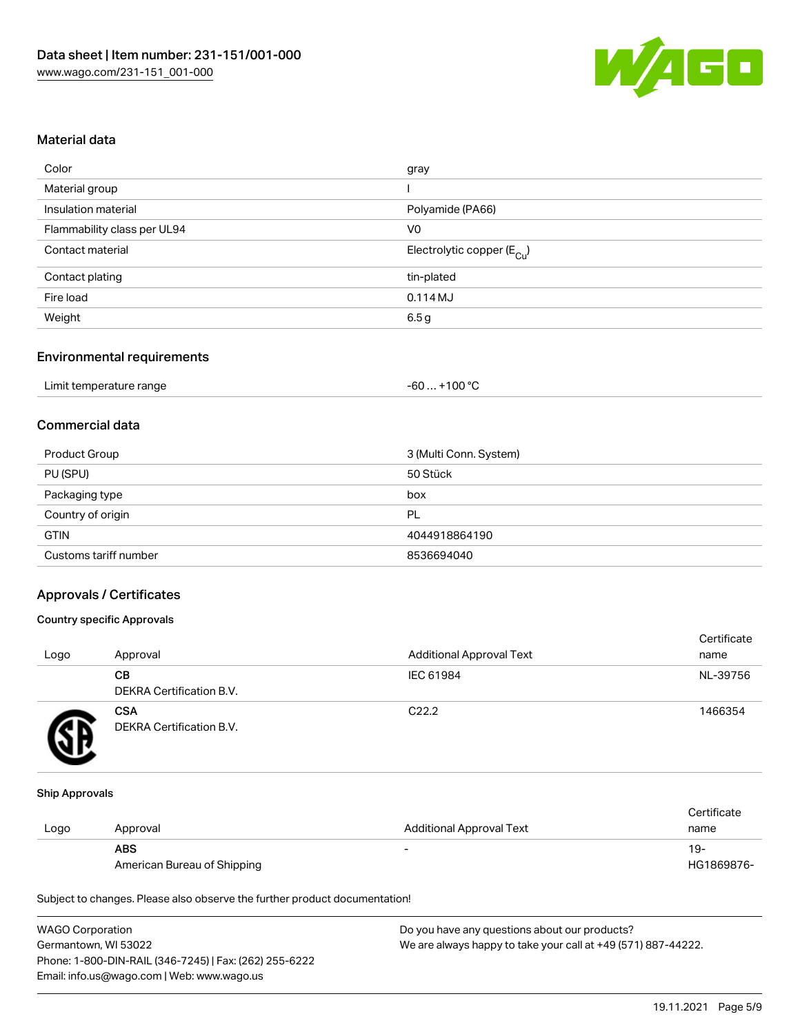

## Material data

| gray                                   |
|----------------------------------------|
|                                        |
| Polyamide (PA66)                       |
| V <sub>0</sub>                         |
| Electrolytic copper (E <sub>Cu</sub> ) |
| tin-plated                             |
| 0.114MJ                                |
| 6.5 g                                  |
|                                        |

#### Environmental requirements

| Limit temperature range | . +100 °C<br>-60 |
|-------------------------|------------------|
|-------------------------|------------------|

## Commercial data

| Product Group         | 3 (Multi Conn. System) |
|-----------------------|------------------------|
| PU (SPU)              | 50 Stück               |
| Packaging type        | box                    |
| Country of origin     | PL                     |
| <b>GTIN</b>           | 4044918864190          |
| Customs tariff number | 8536694040             |

#### Approvals / Certificates

#### Country specific Approvals

| Logo | Approval                               | <b>Additional Approval Text</b> | Certificate<br>name |
|------|----------------------------------------|---------------------------------|---------------------|
|      | CВ<br><b>DEKRA Certification B.V.</b>  | IEC 61984                       | NL-39756            |
|      | <b>CSA</b><br>DEKRA Certification B.V. | C <sub>22.2</sub>               | 1466354             |

#### Ship Approvals

|      |                             |                                 | Certificate |
|------|-----------------------------|---------------------------------|-------------|
| Logo | Approval                    | <b>Additional Approval Text</b> | name        |
|      | <b>ABS</b>                  | $\overline{\phantom{0}}$        | -19         |
|      | American Bureau of Shipping |                                 | HG1869876-  |

Subject to changes. Please also observe the further product documentation!

| <b>WAGO Corporation</b>                                | Do you have any questions about our products?                 |
|--------------------------------------------------------|---------------------------------------------------------------|
| Germantown, WI 53022                                   | We are always happy to take your call at +49 (571) 887-44222. |
| Phone: 1-800-DIN-RAIL (346-7245)   Fax: (262) 255-6222 |                                                               |
| Email: info.us@wago.com   Web: www.wago.us             |                                                               |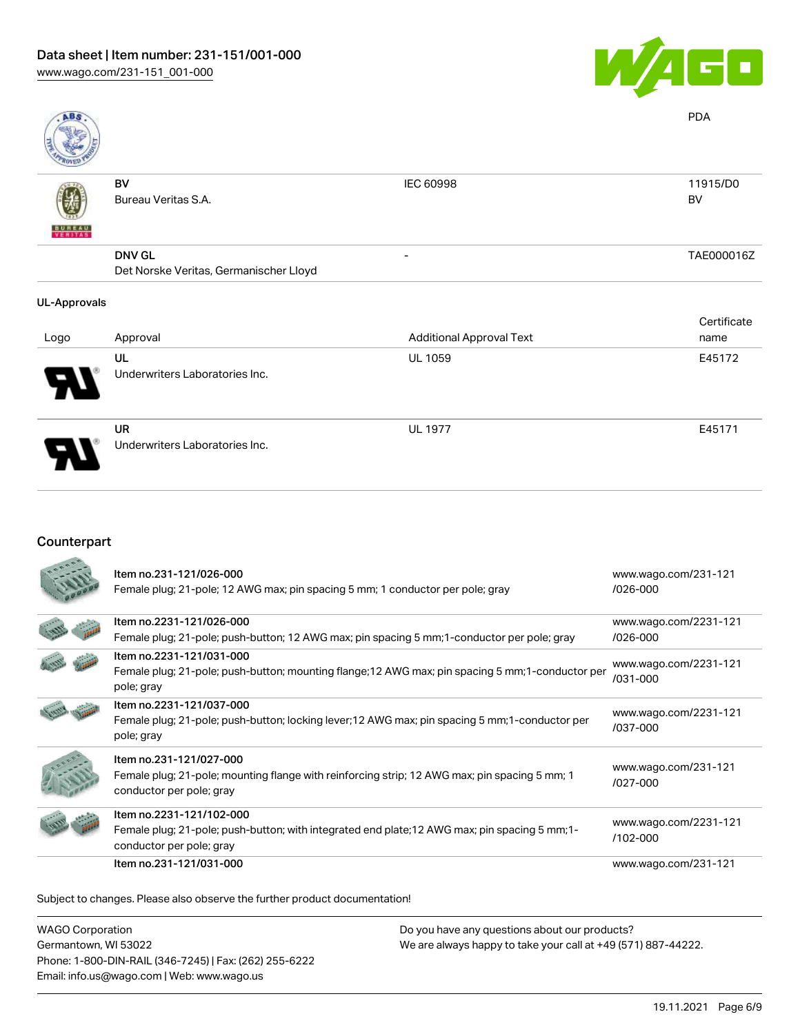

UL 1977 E45171

| <b>ABS</b>          |                                        |                                 | <b>PDA</b>  |
|---------------------|----------------------------------------|---------------------------------|-------------|
|                     | BV                                     | IEC 60998                       | 11915/D0    |
|                     | Bureau Veritas S.A.                    |                                 | <b>BV</b>   |
| <b>BUREAU</b>       |                                        |                                 |             |
|                     | <b>DNV GL</b>                          | $\overline{\phantom{0}}$        | TAE000016Z  |
|                     | Det Norske Veritas, Germanischer Lloyd |                                 |             |
| <b>UL-Approvals</b> |                                        |                                 |             |
|                     |                                        |                                 | Certificate |
| Logo                | Approval                               | <b>Additional Approval Text</b> | name        |
|                     | UL                                     | <b>UL 1059</b>                  | E45172      |
|                     | Underwriters Laboratories Inc.         |                                 |             |

UR Underwriters Laboratories Inc.

## Counterpart

| Item no.231-121/026-000<br>Female plug; 21-pole; 12 AWG max; pin spacing 5 mm; 1 conductor per pole; gray                                              | www.wago.com/231-121<br>$/026 - 000$ |
|--------------------------------------------------------------------------------------------------------------------------------------------------------|--------------------------------------|
| Item no.2231-121/026-000<br>Female plug; 21-pole; push-button; 12 AWG max; pin spacing 5 mm; 1-conductor per pole; gray                                | www.wago.com/2231-121<br>/026-000    |
| Item no.2231-121/031-000<br>Female plug; 21-pole; push-button; mounting flange; 12 AWG max; pin spacing 5 mm; 1-conductor per<br>pole; gray            | www.wago.com/2231-121<br>/031-000    |
| Item no.2231-121/037-000<br>Female plug; 21-pole; push-button; locking lever; 12 AWG max; pin spacing 5 mm; 1-conductor per<br>pole; gray              | www.wago.com/2231-121<br>/037-000    |
| Item no.231-121/027-000<br>Female plug; 21-pole; mounting flange with reinforcing strip; 12 AWG max; pin spacing 5 mm; 1<br>conductor per pole; gray   | www.wago.com/231-121<br>/027-000     |
| Item no.2231-121/102-000<br>Female plug; 21-pole; push-button; with integrated end plate; 12 AWG max; pin spacing 5 mm; 1-<br>conductor per pole; gray | www.wago.com/2231-121<br>/102-000    |
| Item no.231-121/031-000                                                                                                                                | www.wago.com/231-121                 |

Subject to changes. Please also observe the further product documentation!

| <b>WAGO Corporation</b>                                | Do you have any questions about our products?                 |
|--------------------------------------------------------|---------------------------------------------------------------|
| Germantown, WI 53022                                   | We are always happy to take your call at +49 (571) 887-44222. |
| Phone: 1-800-DIN-RAIL (346-7245)   Fax: (262) 255-6222 |                                                               |
| Email: info.us@wago.com   Web: www.wago.us             |                                                               |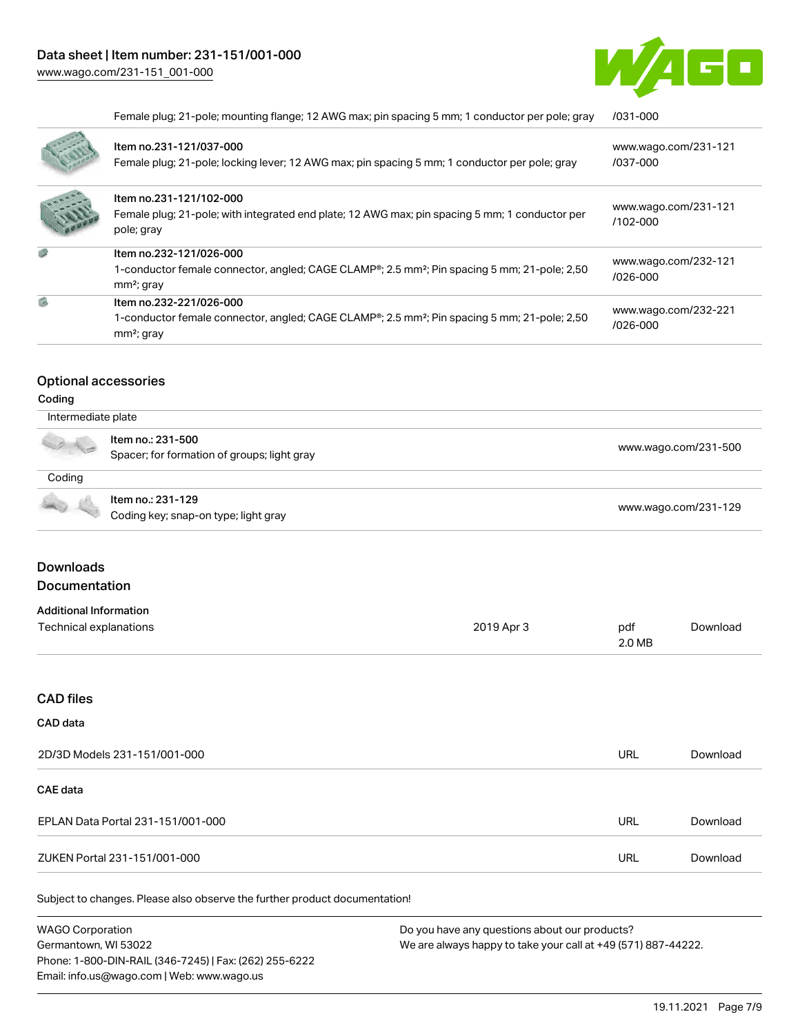

|     | Female plug; 21-pole; mounting flange; 12 AWG max; pin spacing 5 mm; 1 conductor per pole; gray                                                                  | /031-000                             |
|-----|------------------------------------------------------------------------------------------------------------------------------------------------------------------|--------------------------------------|
|     | Item no.231-121/037-000<br>Female plug; 21-pole; locking lever; 12 AWG max; pin spacing 5 mm; 1 conductor per pole; gray                                         | www.wago.com/231-121<br>/037-000     |
|     | Item no.231-121/102-000<br>Female plug; 21-pole; with integrated end plate; 12 AWG max; pin spacing 5 mm; 1 conductor per<br>pole; gray                          | www.wago.com/231-121<br>$/102 - 000$ |
| ø   | Item no.232-121/026-000<br>1-conductor female connector, angled; CAGE CLAMP <sup>®</sup> ; 2.5 mm <sup>2</sup> ; Pin spacing 5 mm; 21-pole; 2,50<br>$mm2$ ; gray | www.wago.com/232-121<br>$/026 - 000$ |
| g). | Item no.232-221/026-000<br>1-conductor female connector, angled; CAGE CLAMP <sup>®</sup> ; 2.5 mm <sup>2</sup> ; Pin spacing 5 mm; 21-pole; 2,50<br>$mm2$ ; gray | www.wago.com/232-221<br>/026-000     |

#### Optional accessories

#### Coding

| Intermediate plate |                                                                  |                      |
|--------------------|------------------------------------------------------------------|----------------------|
| A 12               | Item no.: 231-500<br>Spacer; for formation of groups; light gray | www.wago.com/231-500 |
| Coding             |                                                                  |                      |
|                    | Item no.: 231-129<br>Coding key; snap-on type; light gray        | www.wago.com/231-129 |

## Downloads Documentation

| <b>Additional Information</b> |            |        |          |
|-------------------------------|------------|--------|----------|
| Technical explanations        | 2019 Apr 3 | pdf    | Download |
|                               |            | 2.0 MB |          |

## CAD files

#### CAD data

| 2D/3D Models 231-151/001-000      | URL | Download |
|-----------------------------------|-----|----------|
| CAE data                          |     |          |
| EPLAN Data Portal 231-151/001-000 | URL | Download |
| ZUKEN Portal 231-151/001-000      | URL | Download |

Subject to changes. Please also observe the further product documentation!

WAGO Corporation Germantown, WI 53022 Phone: 1-800-DIN-RAIL (346-7245) | Fax: (262) 255-6222 Email: info.us@wago.com | Web: www.wago.us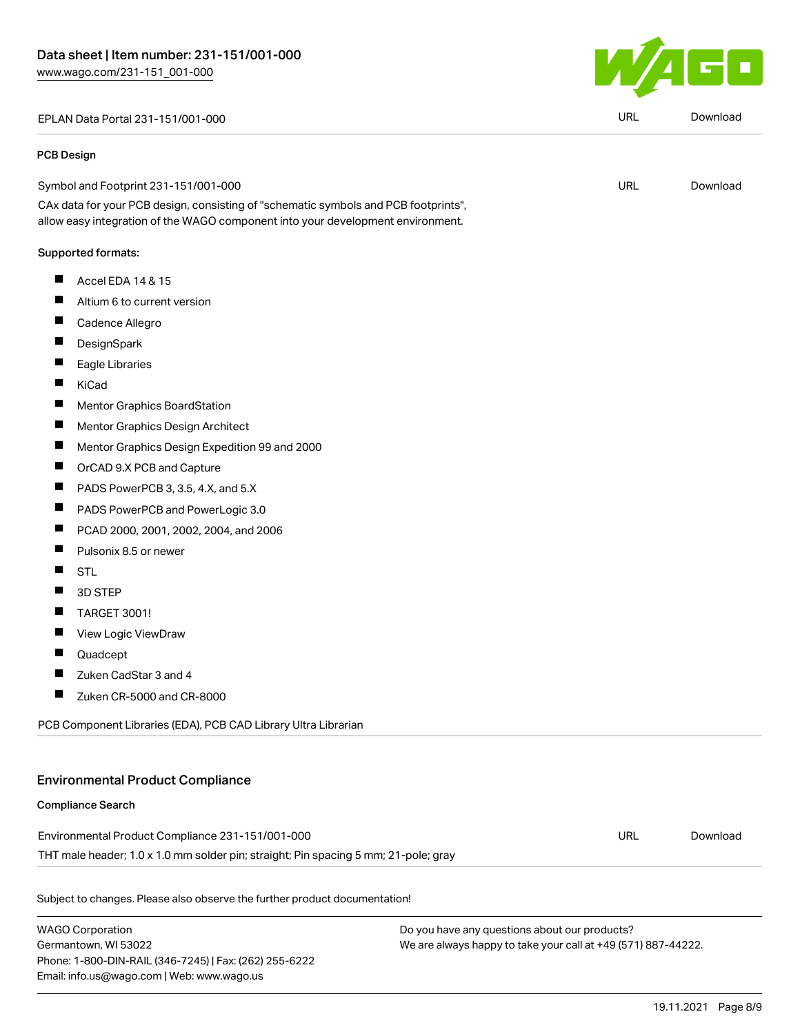EPLAN Data Portal 231-151/001-000 URL [Download](https://www.wago.com/global/d/EPLAN_URLS_231-151_001-000)

#### PCB Design

| Symbol and Footprint 231-151/001-000                                                                                              | URL | Download |
|-----------------------------------------------------------------------------------------------------------------------------------|-----|----------|
| ______<br>____<br>the contract of the contract of the contract of the contract of the contract of the contract of the contract of |     |          |

CAx data for your PCB design, consisting of "schematic symbols and PCB footprints", allow easy integration of the WAGO component into your development environment.

#### Supported formats:

- $\blacksquare$ Accel EDA 14 & 15
- $\blacksquare$ Altium 6 to current version
- $\blacksquare$ Cadence Allegro
- $\blacksquare$ **DesignSpark**
- $\blacksquare$ Eagle Libraries
- $\blacksquare$ KiCad
- $\blacksquare$ Mentor Graphics BoardStation
- $\blacksquare$ Mentor Graphics Design Architect
- $\blacksquare$ Mentor Graphics Design Expedition 99 and 2000
- $\blacksquare$ OrCAD 9.X PCB and Capture
- $\blacksquare$ PADS PowerPCB 3, 3.5, 4.X, and 5.X
- $\blacksquare$ PADS PowerPCB and PowerLogic 3.0
- П PCAD 2000, 2001, 2002, 2004, and 2006
- $\blacksquare$ Pulsonix 8.5 or newer
- $\blacksquare$ STL
- $\blacksquare$ 3D STEP
- $\blacksquare$ TARGET 3001!
- $\blacksquare$ View Logic ViewDraw
- $\blacksquare$ Quadcept
- $\blacksquare$ Zuken CadStar 3 and 4
- $\blacksquare$ Zuken CR-5000 and CR-8000

PCB Component Libraries (EDA), PCB CAD Library Ultra Librarian

### Environmental Product Compliance

#### Compliance Search

| Environmental Product Compliance 231-151/001-000                                    | URL | Download |
|-------------------------------------------------------------------------------------|-----|----------|
| THT male header; 1.0 x 1.0 mm solder pin; straight; Pin spacing 5 mm; 21-pole; gray |     |          |

Subject to changes. Please also observe the further product documentation!

WAGO Corporation Germantown, WI 53022 Phone: 1-800-DIN-RAIL (346-7245) | Fax: (262) 255-6222 Email: info.us@wago.com | Web: www.wago.us